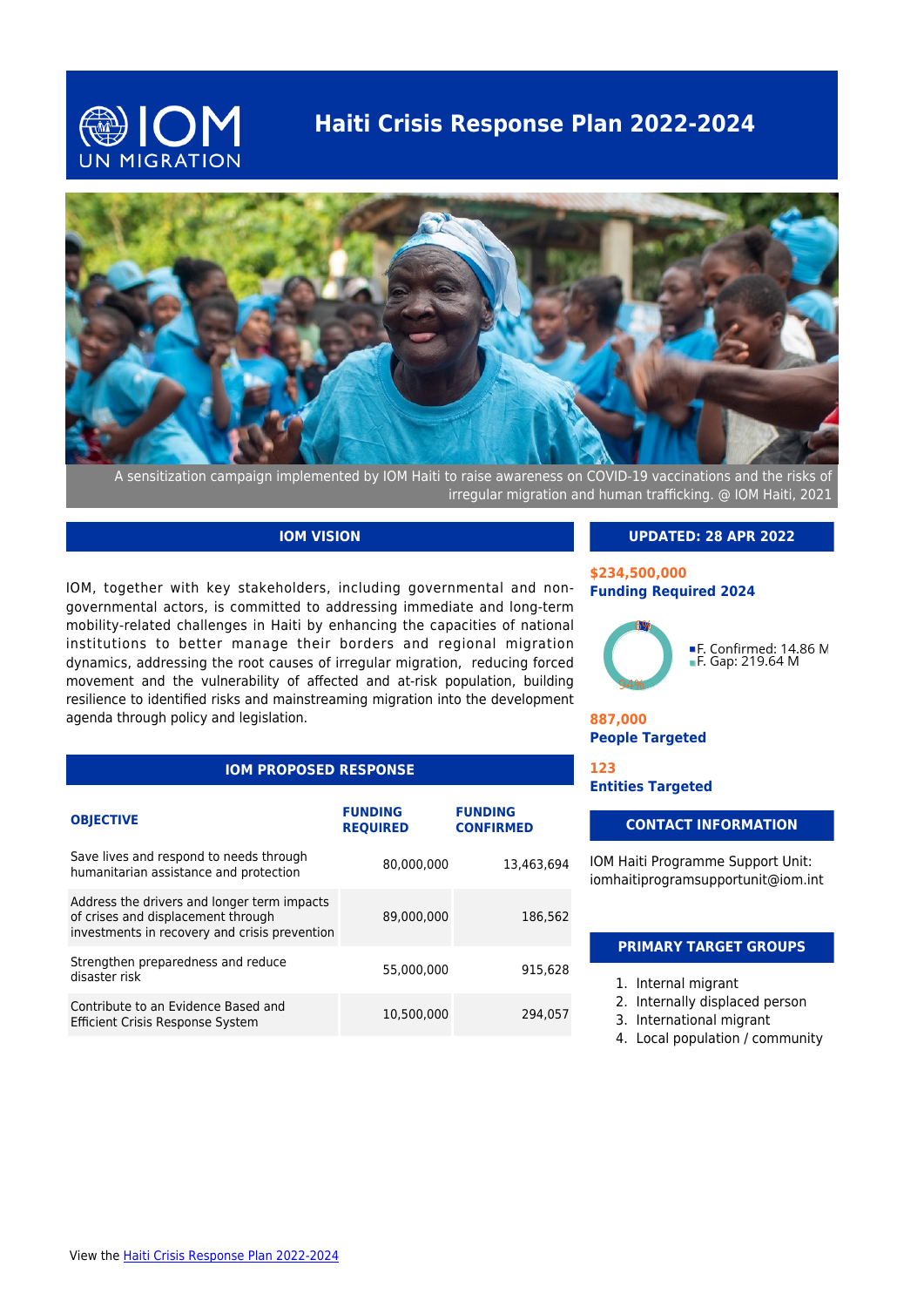# **Haiti Crisis Response Plan 2022-2024**





A sensitization campaign implemented by IOM Haiti to raise awareness on COVID-19 vaccinations and the risks of irregular migration and human trafficking. @ IOM Haiti, 2021

# **IOM VISION**

IOM, together with key stakeholders, including governmental and nongovernmental actors, is committed to addressing immediate and long-term mobility-related challenges in Haiti by enhancing the capacities of national institutions to better manage their borders and regional migration dynamics, addressing the root causes of irregular migration, reducing forced movement and the vulnerability of affected and at-risk population, building resilience to identified risks and mainstreaming migration into the development agenda through policy and legislation.

|  | <b>IOM PROPOSED RESPONSE</b> |  |
|--|------------------------------|--|
|  |                              |  |

| <b>OBJECTIVE</b>                                                                                                                   | <b>FUNDING</b><br><b>REQUIRED</b> | <b>FUNDING</b><br><b>CONFIRMED</b> |
|------------------------------------------------------------------------------------------------------------------------------------|-----------------------------------|------------------------------------|
| Save lives and respond to needs through<br>humanitarian assistance and protection                                                  | 80,000,000                        | 13.463.694                         |
| Address the drivers and longer term impacts<br>of crises and displacement through<br>investments in recovery and crisis prevention | 89,000,000                        | 186,562                            |
| Strengthen preparedness and reduce<br>disaster risk                                                                                | 55.000.000                        | 915.628                            |
| Contribute to an Evidence Based and<br><b>Efficient Crisis Response System</b>                                                     | 10.500.000                        | 294.057                            |

#### **UPDATED: 28 APR 2022**

#### **\$234,500,000 Funding Required 2024**



**887,000 People Targeted**

**123 Entities Targeted**

### **CONTACT INFORMATION**

IOM Haiti Programme Support Unit: iomhaitiprogramsupportunit@iom.int

## **PRIMARY TARGET GROUPS**

- 1. Internal migrant
- 2. Internally displaced person
- 3. International migrant
- 4. Local population / community